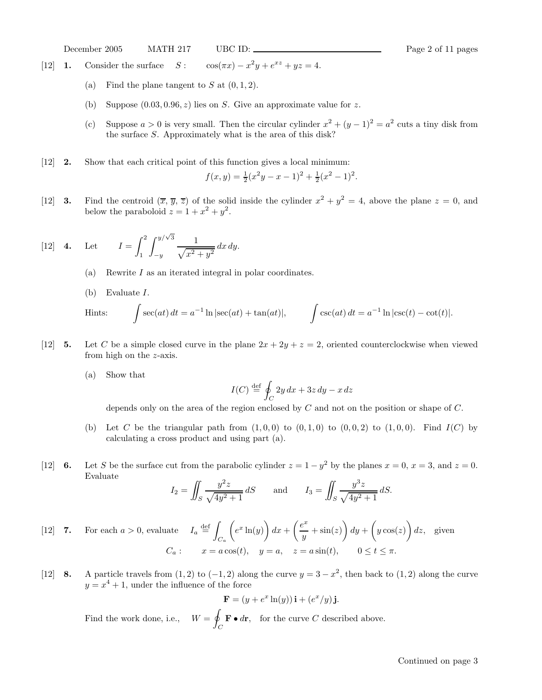December 2005 MATH 217 UBC ID: Page 2 of 11 pages

- [12] **1.** Consider the surface  $S: \cos(\pi x) x^2y + e^{xz} + yz = 4.$ 
	- (a) Find the plane tangent to  $S$  at  $(0, 1, 2)$ .
	- (b) Suppose  $(0.03, 0.96, z)$  lies on S. Give an approximate value for z.
	- (c) Suppose  $a > 0$  is very small. Then the circular cylinder  $x^2 + (y 1)^2 = a^2$  cuts a tiny disk from the surface S. Approximately what is the area of this disk?
- [12] **2.** Show that each critical point of this function gives a local minimum:

$$
f(x,y) = \frac{1}{2}(x^2y - x - 1)^2 + \frac{1}{2}(x^2 - 1)^2.
$$

[12] **3.** Find the centroid  $(\overline{x}, \overline{y}, \overline{z})$  of the solid inside the cylinder  $x^2 + y^2 = 4$ , above the plane  $z = 0$ , and below the paraboloid  $z = 1 + x^2 + y^2$ .

[12] **4.** Let 
$$
I = \int_1^2 \int_{-y}^{y/\sqrt{3}} \frac{1}{\sqrt{x^2 + y^2}} dx dy.
$$

- (a) Rewrite  $I$  as an iterated integral in polar coordinates.
- (b) Evaluate I.

Hints: 
$$
\int \sec(at) dt = a^{-1} \ln |\sec(at) + \tan(at)|, \qquad \int \csc(at) dt = a^{-1} \ln |\csc(t) - \cot(t)|.
$$

- [12] **5.** Let C be a simple closed curve in the plane  $2x + 2y + z = 2$ , oriented counterclockwise when viewed from high on the z-axis.
	- (a) Show that

$$
I(C) \stackrel{\text{def}}{=} \oint_C 2y \, dx + 3z \, dy - x \, dz
$$

depends only on the area of the region enclosed by  $C$  and not on the position or shape of  $C$ .

- (b) Let C be the triangular path from  $(1, 0, 0)$  to  $(0, 1, 0)$  to  $(0, 0, 2)$  to  $(1, 0, 0)$ . Find  $I(C)$  by calculating a cross product and using part (a).
- [12] **6.** Let S be the surface cut from the parabolic cylinder  $z = 1 y^2$  by the planes  $x = 0$ ,  $x = 3$ , and  $z = 0$ . Evaluate

$$
I_2 = \iint_S \frac{y^2 z}{\sqrt{4y^2 + 1}} dS
$$
 and  $I_3 = \iint_S \frac{y^3 z}{\sqrt{4y^2 + 1}} dS$ .

[12] 7. For each 
$$
a > 0
$$
, evaluate  $I_a \stackrel{\text{def}}{=} \int_{C_a} \left( e^x \ln(y) \right) dx + \left( \frac{e^x}{y} + \sin(z) \right) dy + \left( y \cos(z) \right) dz$ , given  
 $C_a: \quad x = a \cos(t), \quad y = a, \quad z = a \sin(t), \quad 0 \le t \le \pi$ .

[12] **8.** A particle travels from  $(1, 2)$  to  $(-1, 2)$  along the curve  $y = 3 - x^2$ , then back to  $(1, 2)$  along the curve  $y = x<sup>4</sup> + 1$ , under the influence of the force

$$
\mathbf{F} = (y + e^x \ln(y))\,\mathbf{i} + (e^x/y)\,\mathbf{j}.
$$

Find the work done, i.e.,  $W = \varnothing$  $\oint_C \mathbf{F} \bullet d\mathbf{r}$ , for the curve C described above.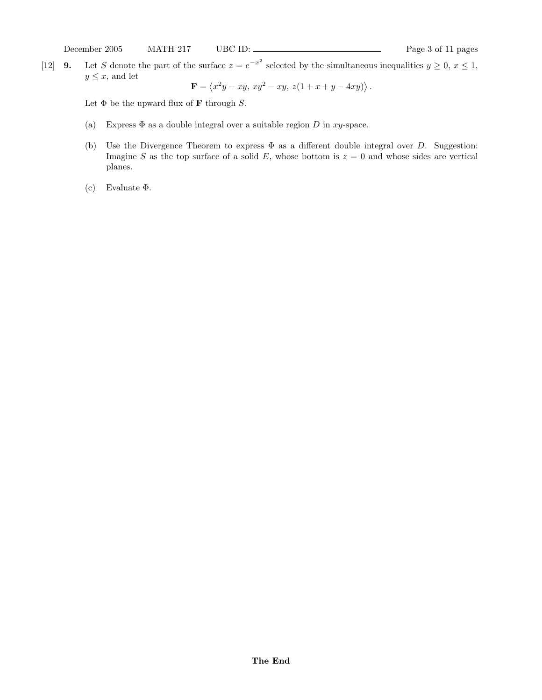[12] **9.** Let S denote the part of the surface  $z = e^{-x^2}$  selected by the simultaneous inequalities  $y \ge 0, x \le 1$ ,  $y \leq x$ , and let

$$
\mathbf{F} = \left\langle x^2y - xy, \, xy^2 - xy, \, z(1 + x + y - 4xy) \right\rangle.
$$

Let  $\Phi$  be the upward flux of **F** through S.

- (a) Express  $\Phi$  as a double integral over a suitable region D in xy-space.
- (b) Use the Divergence Theorem to express  $\Phi$  as a different double integral over D. Suggestion: Imagine S as the top surface of a solid E, whose bottom is  $z = 0$  and whose sides are vertical planes.
- (c) Evaluate Φ.